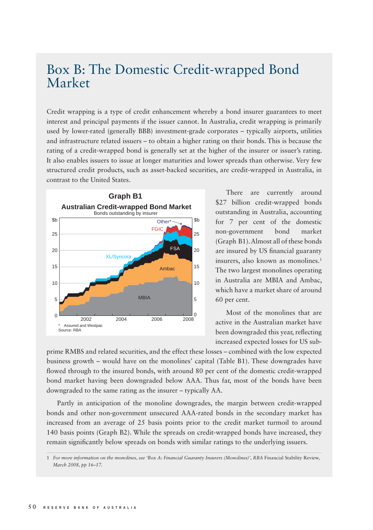## Box B: The Domestic Credit-wrapped Bond Market

Credit wrapping is a type of credit enhancement whereby a bond insurer guarantees to meet interest and principal payments if the issuer cannot. In Australia, credit wrapping is primarily used by lower-rated (generally BBB) investment-grade corporates – typically airports, utilities and infrastructure related issuers – to obtain a higher rating on their bonds. This is because the rating of a credit-wrapped bond is generally set at the higher of the insurer or issuer's rating. It also enables issuers to issue at longer maturities and lower spreads than otherwise. Very few structured credit products, such as asset-backed securities, are credit-wrapped in Australia, in contrast to the United States.



There are currently around \$27 billion credit-wrapped bonds outstanding in Australia, accounting for 7 per cent of the domestic non-government bond market (Graph B1). Almost all of these bonds are insured by US financial guaranty insurers, also known as monolines.<sup>1</sup> The two largest monolines operating in Australia are MBIA and Ambac, which have a market share of around 60 per cent.

Most of the monolines that are active in the Australian market have been downgraded this year, reflecting increased expected losses for US sub-

prime RMBS and related securities, and the effect these losses – combined with the low expected business growth – would have on the monolines' capital (Table B1). These downgrades have flowed through to the insured bonds, with around 80 per cent of the domestic credit-wrapped bond market having been downgraded below AAA. Thus far, most of the bonds have been downgraded to the same rating as the insurer – typically AA.

Partly in anticipation of the monoline downgrades, the margin between credit-wrapped bonds and other non-government unsecured AAA-rated bonds in the secondary market has increased from an average of 25 basis points prior to the credit market turmoil to around 140 basis points (Graph B2). While the spreads on credit-wrapped bonds have increased, they remain significantly below spreads on bonds with similar ratings to the underlying issuers.

<sup>1</sup> *For more information on the monolines, see 'Box A: Financial Guaranty Insurers (Monolines)', RBA* Financial Stability Review*, March 2008, pp 16–17.*